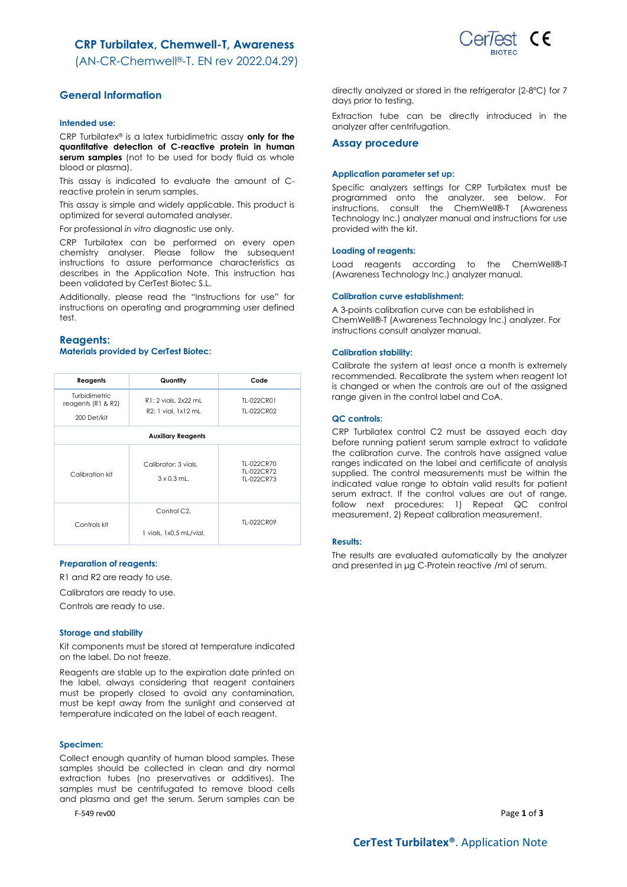# **CRP Turbilatex, Chemwell-T, Awareness**



(AN-CR-Chemwell®-T. EN rev 2022.04.29)

# **General Information**

### **Intended use:**

CRP Turbilatex® is a latex turbidimetric assay **only for the quantitative detection of C-reactive protein in human serum samples** (not to be used for body fluid as whole blood or plasma).

This assay is indicated to evaluate the amount of Creactive protein in serum samples.

This assay is simple and widely applicable. This product is optimized for several automated analyser.

For professional *in vitro* diagnostic use only.

CRP Turbilatex can be performed on every open chemistry analyser. Please follow the subsequent instructions to assure performance characteristics as describes in the Application Note. This instruction has been validated by CerTest Biotec S.L.

Additionally, please read the "Instructions for use" for instructions on operating and programming user defined test.

### **Reagents: Materials provided by CerTest Biotec:**

| Reagents                            | Quantity                                    | Code                                   |  |  |
|-------------------------------------|---------------------------------------------|----------------------------------------|--|--|
| Turbidimetric<br>reagents (R1 & R2) | R1: 2 vials, 2x22 mL<br>R2: 1 vial. 1x12 mL | TI-022CR01<br>TL-022CR02               |  |  |
| 200 Det/kit                         |                                             |                                        |  |  |
| <b>Auxiliary Reagents</b>           |                                             |                                        |  |  |
| Calibration kit                     | Calibrator: 3 vials.<br>$3 \times 0.3$ mL.  | TL-022CR70<br>TI-022CR72<br>TI-022CR73 |  |  |
| Controls kit                        | Control C2.<br>1 vials, 1x0.5 mL/vial.      | TI-022CR09                             |  |  |

### **Preparation of reagents:**

R1 and R2 are ready to use.

Calibrators are ready to use.

Controls are ready to use.

### **Storage and stability**

Kit components must be stored at temperature indicated on the label. Do not freeze.

Reagents are stable up to the expiration date printed on the label, always considering that reagent containers must be properly closed to avoid any contamination, must be kept away from the sunlight and conserved at temperature indicated on the label of each reagent.

#### **Specimen:**

Collect enough quantity of human blood samples. These samples should be collected in clean and dry normal extraction tubes (no preservatives or additives). The samples must be centrifugated to remove blood cells and plasma and get the serum. Serum samples can be

F-549 rev00 Page **1** of **3**

directly analyzed or stored in the refrigerator (2-8ºC) for 7 days prior to testing.

Extraction tube can be directly introduced in the analyzer after centrifugation.

#### **Assay procedure**

#### **Application parameter set up:**

Specific analyzers settings for CRP Turbilatex must be programmed onto the analyzer, see below. For instructions, consult the ChemWell®-T (Awareness Technology Inc.) analyzer manual and instructions for use provided with the kit.

#### **Loading of reagents:**

Load reagents according to the ChemWell®-T (Awareness Technology Inc.) analyzer manual.

### **Calibration curve establishment:**

A 3-points calibration curve can be established in ChemWell®-T (Awareness Technology Inc.) analyzer. For instructions consult analyzer manual.

# **Calibration stability:**

Calibrate the system at least once a month is extremely recommended. Recalibrate the system when reagent lot is changed or when the controls are out of the assigned range given in the control label and CoA.

#### **QC controls:**

CRP Turbilatex control C2 must be assayed each day before running patient serum sample extract to validate the calibration curve. The controls have assigned value ranges indicated on the label and certificate of analysis supplied. The control measurements must be within the indicated value range to obtain valid results for patient serum extract. If the control values are out of range, follow next procedures: 1) Repeat QC control measurement, 2) Repeat calibration measurement.

#### **Results:**

The results are evaluated automatically by the analyzer and presented in μg C-Protein reactive /ml of serum.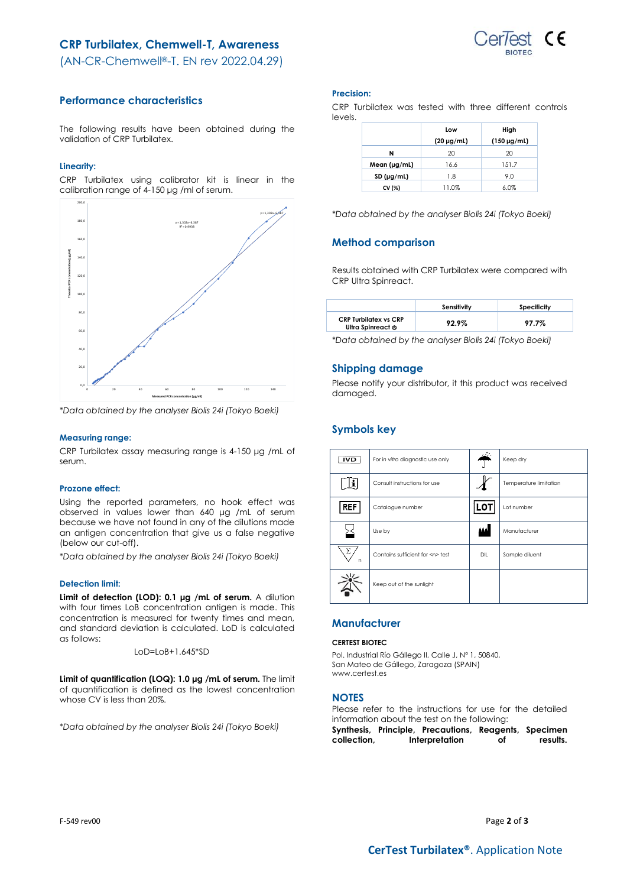# **CRP Turbilatex, Chemwell-T, Awareness**



(AN-CR-Chemwell®-T. EN rev 2022.04.29)

# **Performance characteristics**

The following results have been obtained during the validation of CRP Turbilatex.

# **Linearity:**

CRP Turbilatex using calibrator kit is linear in the calibration range of 4-150 μg /ml of serum.



*\*Data obtained by the analyser Biolis 24i (Tokyo Boeki)*

# **Measuring range:**

CRP Turbilatex assay measuring range is 4-150 μg /mL of serum.

## **Prozone effect:**

Using the reported parameters, no hook effect was observed in values lower than 640 μg /mL of serum because we have not found in any of the dilutions made an antigen concentration that give us a false negative (below our cut-off).

*\*Data obtained by the analyser Biolis 24i (Tokyo Boeki)*

# **Detection limit:**

**Limit of detection (LOD): 0.1 μg /mL of serum.** A dilution with four times LoB concentration antigen is made. This concentration is measured for twenty times and mean, and standard deviation is calculated. LoD is calculated as follows:

$$
LOD = LOB + 1.645^* SD
$$

**Limit of quantification (LOQ): 1.0 μg /mL of serum.** The limit of quantification is defined as the lowest concentration whose CV is less than 20%.

*\*Data obtained by the analyser Biolis 24i (Tokyo Boeki)*

### **Precision:**

CRP Turbilatex was tested with three different controls levels.

|              | Low             | High               |
|--------------|-----------------|--------------------|
|              | $(20 \mu g/ml)$ | $(150 \,\mu g/ml)$ |
| N            | 20              | 20                 |
| Mean (µg/mL) | 16.6            | 151.7              |
| SD (µg/ml)   | 1.8             | 9.0                |
| CV (%)       | 11.0%           | 6.0%               |

*\*Data obtained by the analyser Biolis 24i (Tokyo Boeki)*

# **Method comparison**

Results obtained with CRP Turbilatex were compared with CRP Ultra Spinreact.

|                                                   | Sensitivity | Specificity |
|---------------------------------------------------|-------------|-------------|
| <b>CRP Turbilatex vs CRP</b><br>Ultra Spinreact ® | 92.9%       | 97.7%       |

*\*Data obtained by the analyser Biolis 24i (Tokyo Boeki)*

# **Shipping damage**

Please notify your distributor, it this product was received damaged.

# **Symbols key**

| <b>IVD</b> | For in vitro diagnostic use only     | والمعار | Keep dry               |
|------------|--------------------------------------|---------|------------------------|
|            | Consult instructions for use         |         | Temperature limitation |
| <b>REF</b> | Catalogue number                     | LO1     | Lot number             |
|            | Use by                               | لفقة    | Manufacturer           |
| Σ<br>n     | Contains sufficient for <n> test</n> | DIL     | Sample diluent         |
|            | Keep out of the sunlight             |         |                        |

# **Manufacturer**

# **CERTEST BIOTEC**

Pol. Industrial Río Gállego II, Calle J, Nº 1, 50840, San Mateo de Gállego, Zaragoza (SPAIN) www.certest.es

# **NOTES**

Please refer to the instructions for use for the detailed information about the test on the following:

**Synthesis, Principle, Precautions, Reagents, Specimen collection, Interpretation of results.**